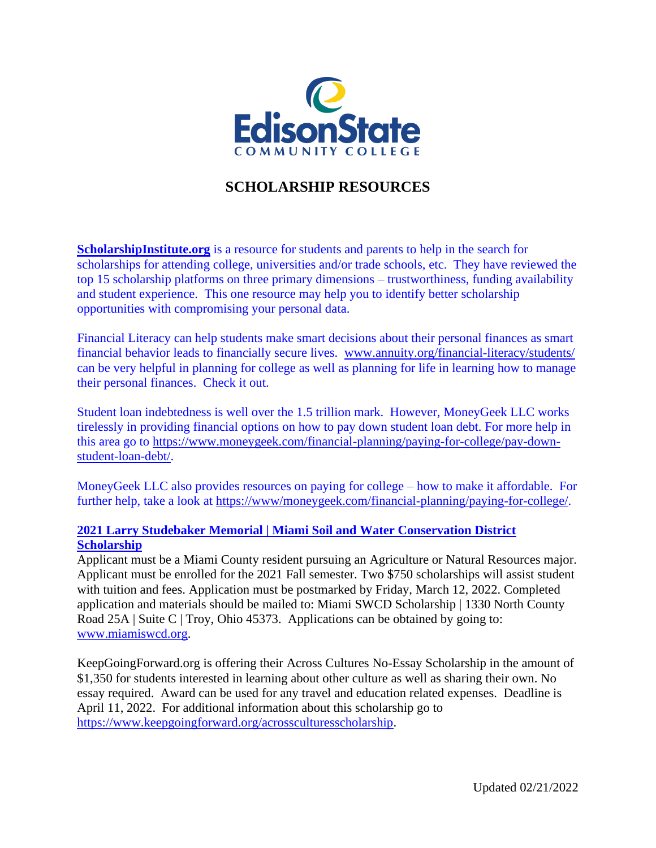

## **SCHOLARSHIP RESOURCES**

**ScholarshipInstitute.org** is a resource for students and parents to help in the search for scholarships for attending college, universities and/or trade schools, etc. They have reviewed the top 15 scholarship platforms on three primary dimensions – trustworthiness, funding availability and student experience. This one resource may help you to identify better scholarship opportunities with compromising your personal data.

Financial Literacy can help students make smart decisions about their personal finances as smart financial behavior leads to financially secure lives. [www.annuity.org/financial-literacy/students/](http://www.annuity.org/financial-literacy/students/) can be very helpful in planning for college as well as planning for life in learning how to manage their personal finances. Check it out.

Student loan indebtedness is well over the 1.5 trillion mark. However, MoneyGeek LLC works tirelessly in providing financial options on how to pay down student loan debt. For more help in this area go to [https://www.moneygeek.com/financial-planning/paying-for-college/pay-down](https://www.moneygeek.com/financial-planning/paying-for-college/pay-down-student-loan-debt/)[student-loan-debt/.](https://www.moneygeek.com/financial-planning/paying-for-college/pay-down-student-loan-debt/)

MoneyGeek LLC also provides resources on paying for college – how to make it affordable. For further help, take a look at [https://www/moneygeek.com/financial-planning/paying-for-college/.](https://www/moneygeek.com/financial-planning/paying-for-college/)

## **2021 [Larry Studebaker Memorial | Miami Soil and Water Conservation District](http://www.edisonohio.edu/uploadedFiles/_Web_Assets/Documents/Financial_Aid/2016-2017_Printable_Forms/2017_Miami-SWCD_Scholarship.pdf)  [Scholarship](http://www.edisonohio.edu/uploadedFiles/_Web_Assets/Documents/Financial_Aid/2016-2017_Printable_Forms/2017_Miami-SWCD_Scholarship.pdf)**

Applicant must be a Miami County resident pursuing an Agriculture or Natural Resources major. Applicant must be enrolled for the 2021 Fall semester. Two \$750 scholarships will assist student with tuition and fees. Application must be postmarked by Friday, March 12, 2022. Completed application and materials should be mailed to: Miami SWCD Scholarship | 1330 North County Road 25A | Suite C | Troy, Ohio 45373. Applications can be obtained by going to: [www.miamiswcd.org.](http://www.miamiswcd.org/)

KeepGoingForward.org is offering their Across Cultures No-Essay Scholarship in the amount of \$1,350 for students interested in learning about other culture as well as sharing their own. No essay required. Award can be used for any travel and education related expenses. Deadline is April 11, 2022. For additional information about this scholarship go to [https://www.keepgoingforward.org/acrossculturesscholarship.](https://www.keepgoingforward.org/acrossculturesscholarship)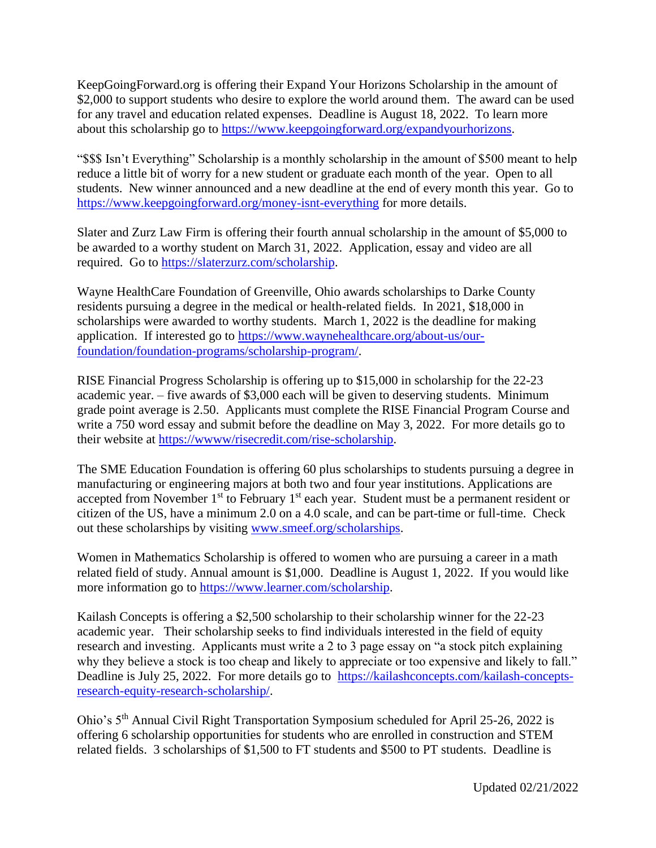KeepGoingForward.org is offering their Expand Your Horizons Scholarship in the amount of \$2,000 to support students who desire to explore the world around them. The award can be used for any travel and education related expenses. Deadline is August 18, 2022. To learn more about this scholarship go to [https://www.keepgoingforward.org/expandyourhorizons.](https://www.keepgoingforward.org/expandyourhorizons)

"\$\$\$ Isn't Everything" Scholarship is a monthly scholarship in the amount of \$500 meant to help reduce a little bit of worry for a new student or graduate each month of the year. Open to all students. New winner announced and a new deadline at the end of every month this year. Go to <https://www.keepgoingforward.org/money-isnt-everything> for more details.

Slater and Zurz Law Firm is offering their fourth annual scholarship in the amount of \$5,000 to be awarded to a worthy student on March 31, 2022. Application, essay and video are all required. Go to [https://slaterzurz.com/scholarship.](https://slaterzurz.com/scholarship)

Wayne HealthCare Foundation of Greenville, Ohio awards scholarships to Darke County residents pursuing a degree in the medical or health-related fields. In 2021, \$18,000 in scholarships were awarded to worthy students. March 1, 2022 is the deadline for making application. If interested go to [https://www.waynehealthcare.org/about-us/our](https://www.waynehealthcare.org/about-us/our-foundation/foundation-programs/scholarship-program/)[foundation/foundation-programs/scholarship-program/.](https://www.waynehealthcare.org/about-us/our-foundation/foundation-programs/scholarship-program/)

RISE Financial Progress Scholarship is offering up to \$15,000 in scholarship for the 22-23 academic year. – five awards of \$3,000 each will be given to deserving students. Minimum grade point average is 2.50. Applicants must complete the RISE Financial Program Course and write a 750 word essay and submit before the deadline on May 3, 2022. For more details go to their website at [https://wwww/risecredit.com/rise-scholarship.](https://wwww/risecredit.com/rise-scholarship)

The SME Education Foundation is offering 60 plus scholarships to students pursuing a degree in manufacturing or engineering majors at both two and four year institutions. Applications are accepted from November  $1<sup>st</sup>$  to February  $1<sup>st</sup>$  each year. Student must be a permanent resident or citizen of the US, have a minimum 2.0 on a 4.0 scale, and can be part-time or full-time. Check out these scholarships by visiting [www.smeef.org/scholarships.](http://www.smeef.org/scholarships)

Women in Mathematics Scholarship is offered to women who are pursuing a career in a math related field of study. Annual amount is \$1,000. Deadline is August 1, 2022. If you would like more information go to [https://www.learner.com/scholarship.](https://www.learner.com/scholarship)

Kailash Concepts is offering a \$2,500 scholarship to their scholarship winner for the 22-23 academic year. Their scholarship seeks to find individuals interested in the field of equity research and investing. Applicants must write a 2 to 3 page essay on "a stock pitch explaining why they believe a stock is too cheap and likely to appreciate or too expensive and likely to fall." Deadline is July 25, 2022. For more details go to [https://kailashconcepts.com/kailash-concepts](https://kailashconcepts.com/kailash-concepts-research-equity-research-scholarship/)[research-equity-research-scholarship/.](https://kailashconcepts.com/kailash-concepts-research-equity-research-scholarship/)

Ohio's 5th Annual Civil Right Transportation Symposium scheduled for April 25-26, 2022 is offering 6 scholarship opportunities for students who are enrolled in construction and STEM related fields. 3 scholarships of \$1,500 to FT students and \$500 to PT students. Deadline is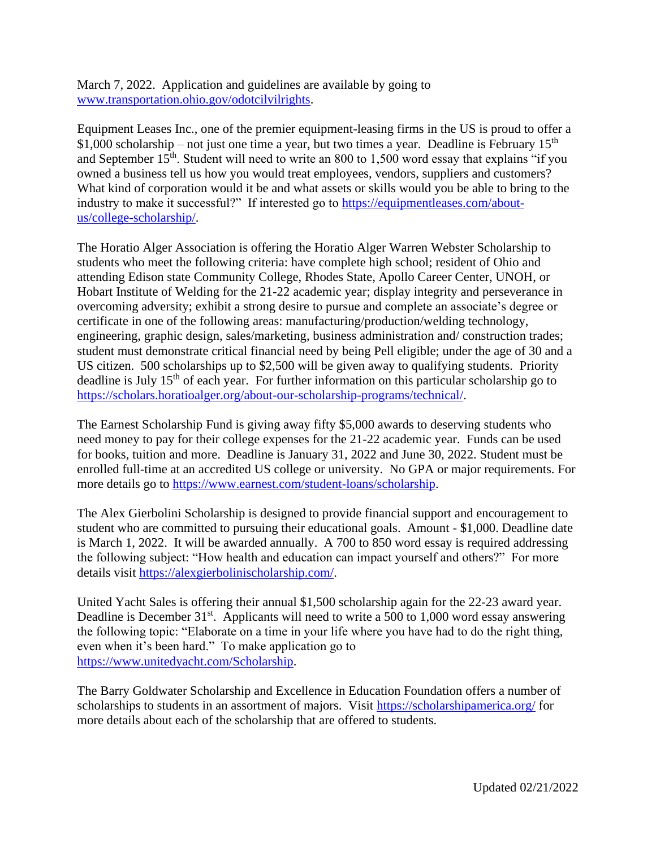March 7, 2022. Application and guidelines are available by going to [www.transportation.ohio.gov/odotcilvilrights.](http://www.transportation.ohio.gov/odotcilvilrights)

Equipment Leases Inc., one of the premier equipment-leasing firms in the US is proud to offer a  $$1,000$  scholarship – not just one time a year, but two times a year. Deadline is February 15<sup>th</sup> and September  $15<sup>th</sup>$ . Student will need to write an 800 to 1,500 word essay that explains "if you owned a business tell us how you would treat employees, vendors, suppliers and customers? What kind of corporation would it be and what assets or skills would you be able to bring to the industry to make it successful?" If interested go to [https://equipmentleases.com/about](https://equipmentleases.com/about-us/college-scholarship/)[us/college-scholarship/.](https://equipmentleases.com/about-us/college-scholarship/)

The Horatio Alger Association is offering the Horatio Alger Warren Webster Scholarship to students who meet the following criteria: have complete high school; resident of Ohio and attending Edison state Community College, Rhodes State, Apollo Career Center, UNOH, or Hobart Institute of Welding for the 21-22 academic year; display integrity and perseverance in overcoming adversity; exhibit a strong desire to pursue and complete an associate's degree or certificate in one of the following areas: manufacturing/production/welding technology, engineering, graphic design, sales/marketing, business administration and/ construction trades; student must demonstrate critical financial need by being Pell eligible; under the age of 30 and a US citizen. 500 scholarships up to \$2,500 will be given away to qualifying students. Priority deadline is July  $15<sup>th</sup>$  of each year. For further information on this particular scholarship go to [https://scholars.horatioalger.org/about-our-scholarship-programs/technical/.](https://scholars.horatioalger.org/about-our-scholarship-programs/technical/)

The Earnest Scholarship Fund is giving away fifty \$5,000 awards to deserving students who need money to pay for their college expenses for the 21-22 academic year. Funds can be used for books, tuition and more. Deadline is January 31, 2022 and June 30, 2022. Student must be enrolled full-time at an accredited US college or university. No GPA or major requirements. For more details go to [https://www.earnest.com/student-loans/scholarship.](https://www.earnest.com/student-loans/scholarship)

The Alex Gierbolini Scholarship is designed to provide financial support and encouragement to student who are committed to pursuing their educational goals. Amount - \$1,000. Deadline date is March 1, 2022. It will be awarded annually. A 700 to 850 word essay is required addressing the following subject: "How health and education can impact yourself and others?" For more details visit [https://alexgierbolinischolarship.com/.](https://alexgierbolinischolarship.com/)

United Yacht Sales is offering their annual \$1,500 scholarship again for the 22-23 award year. Deadline is December  $31^{st}$ . Applicants will need to write a 500 to 1,000 word essay answering the following topic: "Elaborate on a time in your life where you have had to do the right thing, even when it's been hard." To make application go to [https://www.unitedyacht.com/Scholarship.](https://www.unitedyacht.com/Scholarship)

The Barry Goldwater Scholarship and Excellence in Education Foundation offers a number of scholarships to students in an assortment of majors. Visit<https://scholarshipamerica.org/> for more details about each of the scholarship that are offered to students.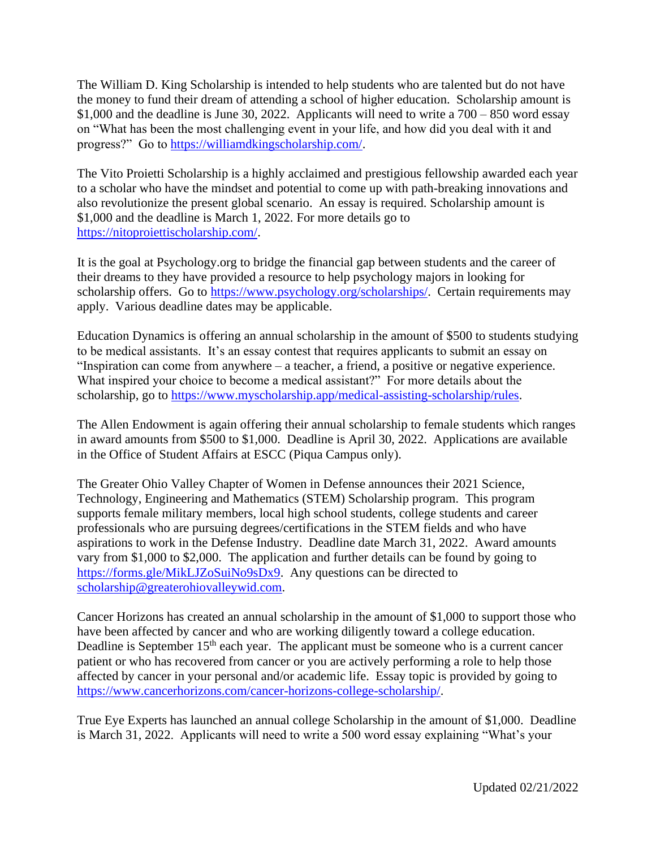The William D. King Scholarship is intended to help students who are talented but do not have the money to fund their dream of attending a school of higher education. Scholarship amount is \$1,000 and the deadline is June 30, 2022. Applicants will need to write a  $700 - 850$  word essay on "What has been the most challenging event in your life, and how did you deal with it and progress?" Go to [https://williamdkingscholarship.com/.](https://williamdkingscholarship.com/)

The Vito Proietti Scholarship is a highly acclaimed and prestigious fellowship awarded each year to a scholar who have the mindset and potential to come up with path-breaking innovations and also revolutionize the present global scenario. An essay is required. Scholarship amount is \$1,000 and the deadline is March 1, 2022. For more details go to [https://nitoproiettischolarship.com/.](https://nitoproiettischolarship.com/)

It is the goal at Psychology.org to bridge the financial gap between students and the career of their dreams to they have provided a resource to help psychology majors in looking for scholarship offers. Go to [https://www.psychology.org/scholarships/.](https://www.psychology.org/scholarships/) Certain requirements may apply. Various deadline dates may be applicable.

Education Dynamics is offering an annual scholarship in the amount of \$500 to students studying to be medical assistants. It's an essay contest that requires applicants to submit an essay on "Inspiration can come from anywhere – a teacher, a friend, a positive or negative experience. What inspired your choice to become a medical assistant?" For more details about the scholarship, go to [https://www.myscholarship.app/medical-assisting-scholarship/rules.](https://www.myscholarship.app/medical-assisting-scholarship/rules)

The Allen Endowment is again offering their annual scholarship to female students which ranges in award amounts from \$500 to \$1,000. Deadline is April 30, 2022. Applications are available in the Office of Student Affairs at ESCC (Piqua Campus only).

The Greater Ohio Valley Chapter of Women in Defense announces their 2021 Science, Technology, Engineering and Mathematics (STEM) Scholarship program. This program supports female military members, local high school students, college students and career professionals who are pursuing degrees/certifications in the STEM fields and who have aspirations to work in the Defense Industry. Deadline date March 31, 2022. Award amounts vary from \$1,000 to \$2,000. The application and further details can be found by going to [https://forms.gle/MikLJZoSuiNo9sDx9.](https://forms.gle/MikLJZoSuiNo9sDx9) Any questions can be directed to [scholarship@greaterohiovalleywid.com.](mailto:scholarship@greaterohiovalleywid.com)

Cancer Horizons has created an annual scholarship in the amount of \$1,000 to support those who have been affected by cancer and who are working diligently toward a college education. Deadline is September 15<sup>th</sup> each year. The applicant must be someone who is a current cancer patient or who has recovered from cancer or you are actively performing a role to help those affected by cancer in your personal and/or academic life. Essay topic is provided by going to [https://www.cancerhorizons.com/cancer-horizons-college-scholarship/.](https://www.cancerhorizons.com/cancer-horizons-college-scholarship/)

True Eye Experts has launched an annual college Scholarship in the amount of \$1,000. Deadline is March 31, 2022. Applicants will need to write a 500 word essay explaining "What's your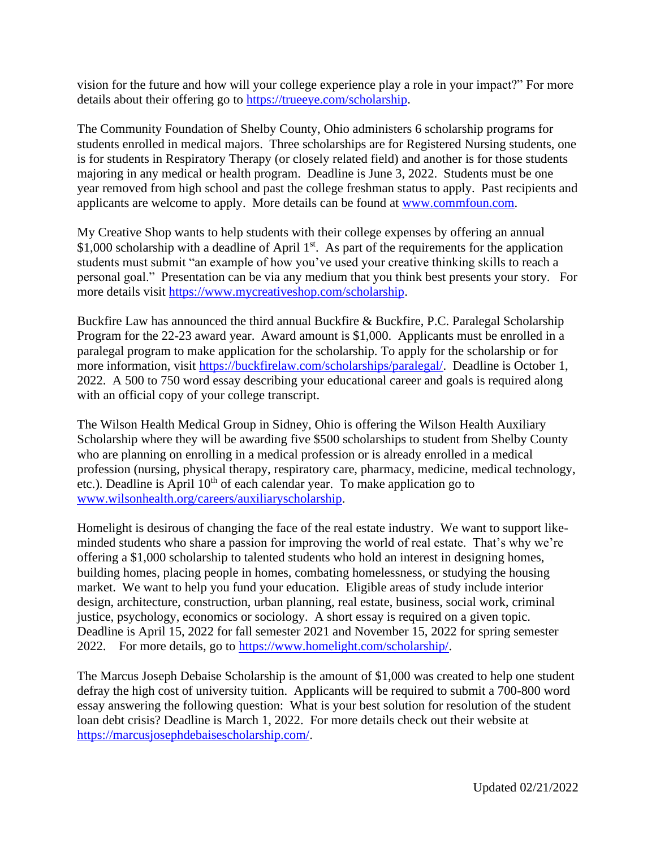vision for the future and how will your college experience play a role in your impact?" For more details about their offering go to [https://trueeye.com/scholarship.](https://trueeye.com/scholarship)

The Community Foundation of Shelby County, Ohio administers 6 scholarship programs for students enrolled in medical majors. Three scholarships are for Registered Nursing students, one is for students in Respiratory Therapy (or closely related field) and another is for those students majoring in any medical or health program. Deadline is June 3, 2022. Students must be one year removed from high school and past the college freshman status to apply. Past recipients and applicants are welcome to apply. More details can be found at [www.commfoun.com.](http://www.commfoun.com/)

My Creative Shop wants to help students with their college expenses by offering an annual \$1,000 scholarship with a deadline of April  $1<sup>st</sup>$ . As part of the requirements for the application students must submit "an example of how you've used your creative thinking skills to reach a personal goal." Presentation can be via any medium that you think best presents your story. For more details visit [https://www.mycreativeshop.com/scholarship.](https://www.mycreativeshop.com/scholarship)

Buckfire Law has announced the third annual Buckfire & Buckfire, P.C. Paralegal Scholarship Program for the 22-23 award year. Award amount is \$1,000. Applicants must be enrolled in a paralegal program to make application for the scholarship. To apply for the scholarship or for more information, visit [https://buckfirelaw.com/scholarships/paralegal/.](https://buckfirelaw.com/scholarships/paralegal/) Deadline is October 1, 2022. A 500 to 750 word essay describing your educational career and goals is required along with an official copy of your college transcript.

The Wilson Health Medical Group in Sidney, Ohio is offering the Wilson Health Auxiliary Scholarship where they will be awarding five \$500 scholarships to student from Shelby County who are planning on enrolling in a medical profession or is already enrolled in a medical profession (nursing, physical therapy, respiratory care, pharmacy, medicine, medical technology, etc.). Deadline is April  $10<sup>th</sup>$  of each calendar year. To make application go to [www.wilsonhealth.org/careers/auxiliaryscholarship.](http://www.wilsonhealth.org/careers/auxiliaryscholarship)

Homelight is desirous of changing the face of the real estate industry. We want to support likeminded students who share a passion for improving the world of real estate. That's why we're offering a \$1,000 scholarship to talented students who hold an interest in designing homes, building homes, placing people in homes, combating homelessness, or studying the housing market. We want to help you fund your education. Eligible areas of study include interior design, architecture, construction, urban planning, real estate, business, social work, criminal justice, psychology, economics or sociology. A short essay is required on a given topic. Deadline is April 15, 2022 for fall semester 2021 and November 15, 2022 for spring semester 2022. For more details, go to [https://www.homelight.com/scholarship/.](https://www.homelight.com/scholarship/)

The Marcus Joseph Debaise Scholarship is the amount of \$1,000 was created to help one student defray the high cost of university tuition. Applicants will be required to submit a 700-800 word essay answering the following question: What is your best solution for resolution of the student loan debt crisis? Deadline is March 1, 2022. For more details check out their website at [https://marcusjosephdebaisescholarship.com/.](https://marcusjosephdebaisescholarship.com/)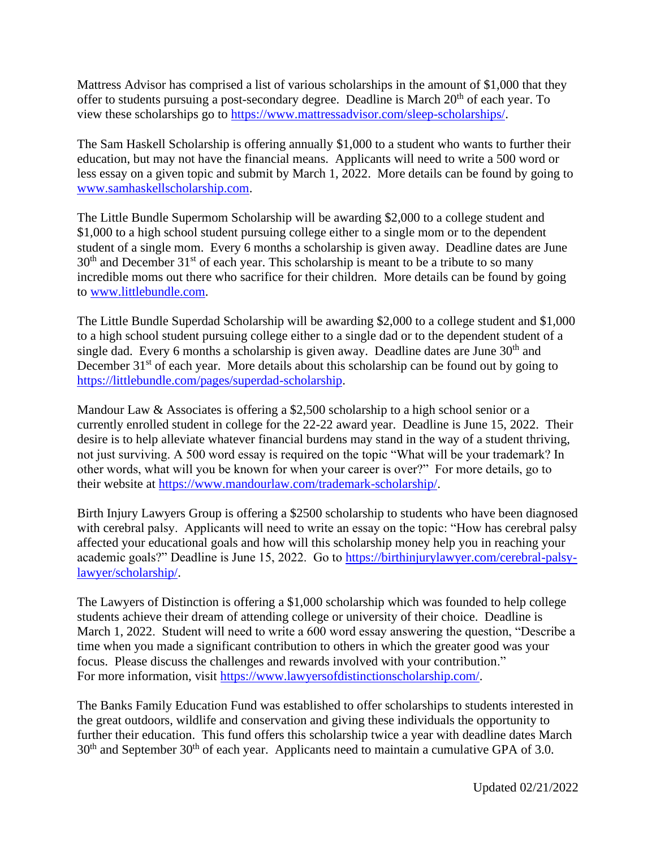Mattress Advisor has comprised a list of various scholarships in the amount of \$1,000 that they offer to students pursuing a post-secondary degree. Deadline is March  $20<sup>th</sup>$  of each year. To view these scholarships go to [https://www.mattressadvisor.com/sleep-scholarships/.](https://www.mattressadvisor.com/sleep-scholarships/)

The Sam Haskell Scholarship is offering annually \$1,000 to a student who wants to further their education, but may not have the financial means. Applicants will need to write a 500 word or less essay on a given topic and submit by March 1, 2022. More details can be found by going to [www.samhaskellscholarship.com.](http://www.samhaskellscholarship.com/)

The Little Bundle Supermom Scholarship will be awarding \$2,000 to a college student and \$1,000 to a high school student pursuing college either to a single mom or to the dependent student of a single mom. Every 6 months a scholarship is given away. Deadline dates are June  $30<sup>th</sup>$  and December  $31<sup>st</sup>$  of each year. This scholarship is meant to be a tribute to so many incredible moms out there who sacrifice for their children. More details can be found by going to [www.littlebundle.com.](http://www.littlebundle.com/)

The Little Bundle Superdad Scholarship will be awarding \$2,000 to a college student and \$1,000 to a high school student pursuing college either to a single dad or to the dependent student of a single dad. Every 6 months a scholarship is given away. Deadline dates are June  $30<sup>th</sup>$  and December  $31<sup>st</sup>$  of each year. More details about this scholarship can be found out by going to [https://littlebundle.com/pages/superdad-scholarship.](https://littlebundle.com/pages/superdad-scholarship)

Mandour Law & Associates is offering a \$2,500 scholarship to a high school senior or a currently enrolled student in college for the 22-22 award year. Deadline is June 15, 2022. Their desire is to help alleviate whatever financial burdens may stand in the way of a student thriving, not just surviving. A 500 word essay is required on the topic "What will be your trademark? In other words, what will you be known for when your career is over?" For more details, go to their website at [https://www.mandourlaw.com/trademark-scholarship/.](https://www.mandourlaw.com/trademark-scholarship/)

Birth Injury Lawyers Group is offering a \$2500 scholarship to students who have been diagnosed with cerebral palsy. Applicants will need to write an essay on the topic: "How has cerebral palsy affected your educational goals and how will this scholarship money help you in reaching your academic goals?" Deadline is June 15, 2022. Go to [https://birthinjurylawyer.com/cerebral-palsy](https://birthinjurylawyer.com/cerebral-palsy-lawyer/scholarship/)[lawyer/scholarship/.](https://birthinjurylawyer.com/cerebral-palsy-lawyer/scholarship/)

The Lawyers of Distinction is offering a \$1,000 scholarship which was founded to help college students achieve their dream of attending college or university of their choice. Deadline is March 1, 2022. Student will need to write a 600 word essay answering the question, "Describe a time when you made a significant contribution to others in which the greater good was your focus. Please discuss the challenges and rewards involved with your contribution." For more information, visit [https://www.lawyersofdistinctionscholarship.com/.](https://www.lawyersofdistinctionscholarship.com/)

The Banks Family Education Fund was established to offer scholarships to students interested in the great outdoors, wildlife and conservation and giving these individuals the opportunity to further their education. This fund offers this scholarship twice a year with deadline dates March  $30<sup>th</sup>$  and September  $30<sup>th</sup>$  of each year. Applicants need to maintain a cumulative GPA of 3.0.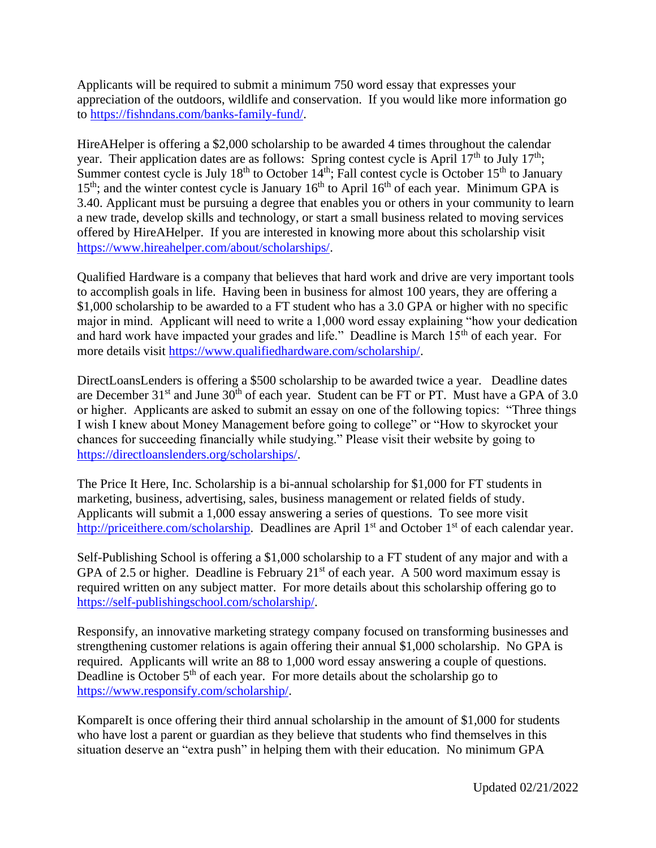Applicants will be required to submit a minimum 750 word essay that expresses your appreciation of the outdoors, wildlife and conservation. If you would like more information go to [https://fishndans.com/banks-family-fund/.](https://fishndans.com/banks-family-fund/)

HireAHelper is offering a \$2,000 scholarship to be awarded 4 times throughout the calendar year. Their application dates are as follows: Spring contest cycle is April  $17<sup>th</sup>$  to July  $17<sup>th</sup>$ ; Summer contest cycle is July  $18^{th}$  to October  $14^{th}$ ; Fall contest cycle is October  $15^{th}$  to January  $15<sup>th</sup>$ ; and the winter contest cycle is January  $16<sup>th</sup>$  to April  $16<sup>th</sup>$  of each year. Minimum GPA is 3.40. Applicant must be pursuing a degree that enables you or others in your community to learn a new trade, develop skills and technology, or start a small business related to moving services offered by HireAHelper. If you are interested in knowing more about this scholarship visit [https://www.hireahelper.com/about/scholarships/.](https://www.hireahelper.com/about/scholarships/)

Qualified Hardware is a company that believes that hard work and drive are very important tools to accomplish goals in life. Having been in business for almost 100 years, they are offering a \$1,000 scholarship to be awarded to a FT student who has a 3.0 GPA or higher with no specific major in mind. Applicant will need to write a 1,000 word essay explaining "how your dedication and hard work have impacted your grades and life." Deadline is March 15<sup>th</sup> of each year. For more details visit [https://www.qualifiedhardware.com/scholarship/.](https://www.qualifiedhardware.com/scholarship/)

DirectLoansLenders is offering a \$500 scholarship to be awarded twice a year. Deadline dates are December  $31<sup>st</sup>$  and June  $30<sup>th</sup>$  of each year. Student can be FT or PT. Must have a GPA of 3.0 or higher. Applicants are asked to submit an essay on one of the following topics: "Three things I wish I knew about Money Management before going to college" or "How to skyrocket your chances for succeeding financially while studying." Please visit their website by going to [https://directloanslenders.org/scholarships/.](https://directloanslenders.org/scholarships/)

The Price It Here, Inc. Scholarship is a bi-annual scholarship for \$1,000 for FT students in marketing, business, advertising, sales, business management or related fields of study. Applicants will submit a 1,000 essay answering a series of questions. To see more visit [http://priceithere.com/scholarship.](http://priceithere.com/scholarship) Deadlines are April 1<sup>st</sup> and October 1<sup>st</sup> of each calendar year.

Self-Publishing School is offering a \$1,000 scholarship to a FT student of any major and with a GPA of 2.5 or higher. Deadline is February  $21<sup>st</sup>$  of each year. A 500 word maximum essay is required written on any subject matter. For more details about this scholarship offering go to [https://self-publishingschool.com/scholarship/.](https://self-publishingschool.com/scholarship/)

Responsify, an innovative marketing strategy company focused on transforming businesses and strengthening customer relations is again offering their annual \$1,000 scholarship. No GPA is required. Applicants will write an 88 to 1,000 word essay answering a couple of questions. Deadline is October 5<sup>th</sup> of each year. For more details about the scholarship go to [https://www.responsify.com/scholarship/.](https://www.responsify.com/scholarship/)

KompareIt is once offering their third annual scholarship in the amount of \$1,000 for students who have lost a parent or guardian as they believe that students who find themselves in this situation deserve an "extra push" in helping them with their education. No minimum GPA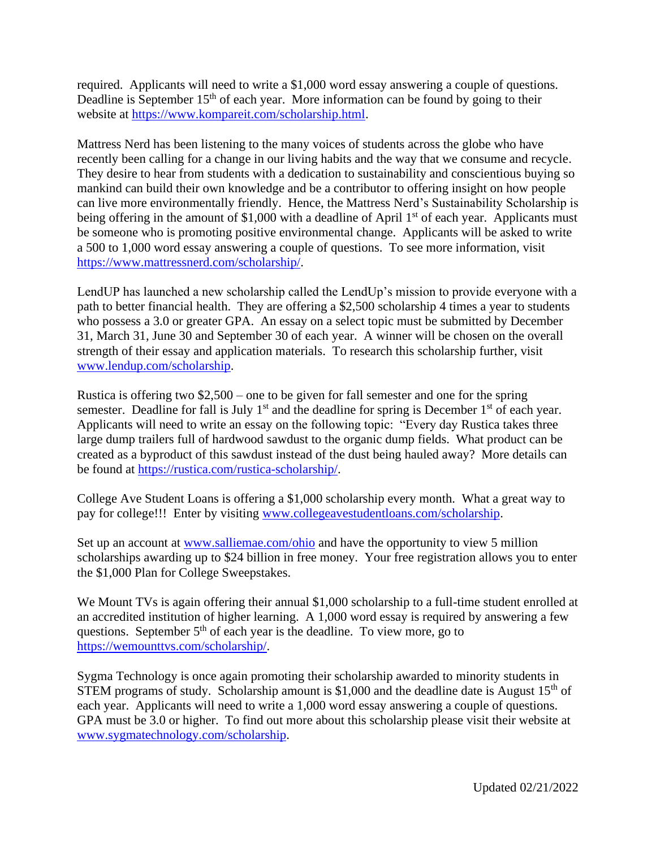required. Applicants will need to write a \$1,000 word essay answering a couple of questions. Deadline is September  $15<sup>th</sup>$  of each year. More information can be found by going to their website at [https://www.kompareit.com/scholarship.html.](https://www.kompareit.com/scholarship.html)

Mattress Nerd has been listening to the many voices of students across the globe who have recently been calling for a change in our living habits and the way that we consume and recycle. They desire to hear from students with a dedication to sustainability and conscientious buying so mankind can build their own knowledge and be a contributor to offering insight on how people can live more environmentally friendly. Hence, the Mattress Nerd's Sustainability Scholarship is being offering in the amount of  $$1,000$  with a deadline of April 1<sup>st</sup> of each year. Applicants must be someone who is promoting positive environmental change. Applicants will be asked to write a 500 to 1,000 word essay answering a couple of questions. To see more information, visit [https://www.mattressnerd.com/scholarship/.](https://www.mattressnerd.com/scholarship/)

LendUP has launched a new scholarship called the LendUp's mission to provide everyone with a path to better financial health. They are offering a \$2,500 scholarship 4 times a year to students who possess a 3.0 or greater GPA. An essay on a select topic must be submitted by December 31, March 31, June 30 and September 30 of each year. A winner will be chosen on the overall strength of their essay and application materials. To research this scholarship further, visit [www.lendup.com/scholarship.](http://www.lendup.com/scholarship)

Rustica is offering two \$2,500 – one to be given for fall semester and one for the spring semester. Deadline for fall is July  $1<sup>st</sup>$  and the deadline for spring is December  $1<sup>st</sup>$  of each year. Applicants will need to write an essay on the following topic: "Every day Rustica takes three large dump trailers full of hardwood sawdust to the organic dump fields. What product can be created as a byproduct of this sawdust instead of the dust being hauled away? More details can be found at [https://rustica.com/rustica-scholarship/.](https://rustica.com/rustica-scholarship/)

College Ave Student Loans is offering a \$1,000 scholarship every month. What a great way to pay for college!!! Enter by visiting [www.collegeavestudentloans.com/scholarship.](http://www.collegeavestudentloans.com/scholarship)

Set up an account at [www.salliemae.com/ohio](http://www.salliemae.com/ohio) and have the opportunity to view 5 million scholarships awarding up to \$24 billion in free money. Your free registration allows you to enter the \$1,000 Plan for College Sweepstakes.

We Mount TVs is again offering their annual \$1,000 scholarship to a full-time student enrolled at an accredited institution of higher learning. A 1,000 word essay is required by answering a few questions. September  $5<sup>th</sup>$  of each year is the deadline. To view more, go to [https://wemounttvs.com/scholarship/.](https://wemounttvs.com/scholarship/)

Sygma Technology is once again promoting their scholarship awarded to minority students in STEM programs of study. Scholarship amount is \$1,000 and the deadline date is August  $15<sup>th</sup>$  of each year. Applicants will need to write a 1,000 word essay answering a couple of questions. GPA must be 3.0 or higher. To find out more about this scholarship please visit their website at [www.sygmatechnology.com/scholarship.](http://www.sygmatechnology.com/scholarship)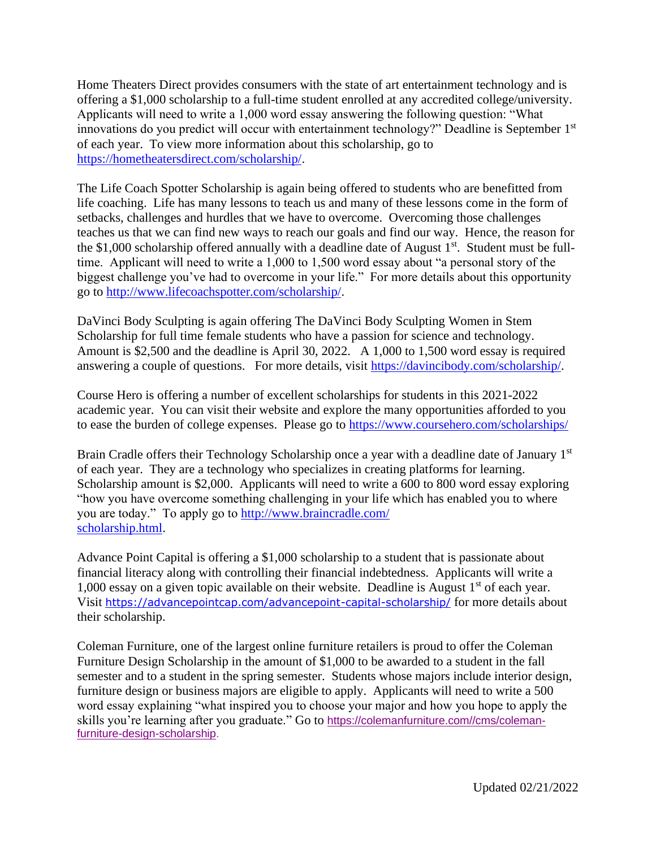Home Theaters Direct provides consumers with the state of art entertainment technology and is offering a \$1,000 scholarship to a full-time student enrolled at any accredited college/university. Applicants will need to write a 1,000 word essay answering the following question: "What innovations do you predict will occur with entertainment technology?" Deadline is September 1st of each year. To view more information about this scholarship, go to [https://hometheatersdirect.com/scholarship/.](https://hometheatersdirect.com/scholarship/)

The Life Coach Spotter Scholarship is again being offered to students who are benefitted from life coaching. Life has many lessons to teach us and many of these lessons come in the form of setbacks, challenges and hurdles that we have to overcome. Overcoming those challenges teaches us that we can find new ways to reach our goals and find our way. Hence, the reason for the \$1,000 scholarship offered annually with a deadline date of August  $1<sup>st</sup>$ . Student must be fulltime. Applicant will need to write a 1,000 to 1,500 word essay about "a personal story of the biggest challenge you've had to overcome in your life." For more details about this opportunity go to [http://www.lifecoachspotter.com/scholarship/.](http://www.lifecoachspotter.com/scholarship/)

DaVinci Body Sculpting is again offering The DaVinci Body Sculpting Women in Stem Scholarship for full time female students who have a passion for science and technology. Amount is \$2,500 and the deadline is April 30, 2022. A 1,000 to 1,500 word essay is required answering a couple of questions. For more details, visit [https://davincibody.com/scholarship/.](https://davincibody.com/scholarship/)

Course Hero is offering a number of excellent scholarships for students in this 2021-2022 academic year. You can visit their website and explore the many opportunities afforded to you to ease the burden of college expenses. Please go to https://www.coursehero.com/scholarships/

Brain Cradle offers their Technology Scholarship once a year with a deadline date of January 1<sup>st</sup> of each year. They are a technology who specializes in creating platforms for learning. Scholarship amount is \$2,000. Applicants will need to write a 600 to 800 word essay exploring "how you have overcome something challenging in your life which has enabled you to where you are today." To apply go to [http://www.braincradle.com/](http://www.braincradle.com/scholarship.html) [scholarship.html.](http://www.braincradle.com/scholarship.html)

Advance Point Capital is offering a \$1,000 scholarship to a student that is passionate about financial literacy along with controlling their financial indebtedness. Applicants will write a 1,000 essay on a given topic available on their website. Deadline is August  $1<sup>st</sup>$  of each year. Visit <https://advancepointcap.com/advancepoint-capital-scholarship/> for more details about their scholarship.

Coleman Furniture, one of the largest online furniture retailers is proud to offer the Coleman Furniture Design Scholarship in the amount of \$1,000 to be awarded to a student in the fall semester and to a student in the spring semester. Students whose majors include interior design, furniture design or business majors are eligible to apply. Applicants will need to write a 500 word essay explaining "what inspired you to choose your major and how you hope to apply the skills you're learning after you graduate." Go to [https://colemanfurniture.com//cms/coleman](https://colemanfurniture.com/cms/coleman-furniture-design-scholarship)[furniture-design-scholarship.](https://colemanfurniture.com/cms/coleman-furniture-design-scholarship)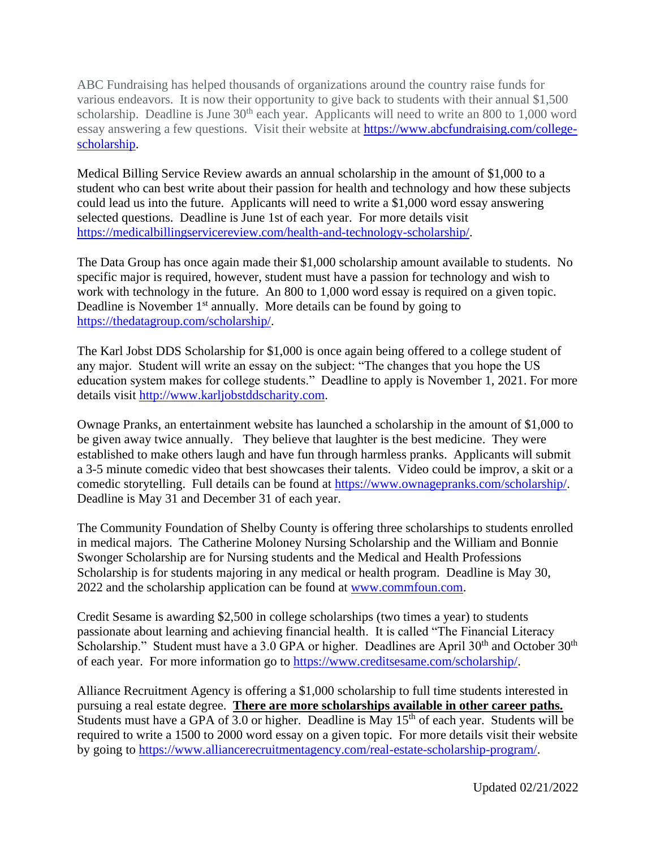ABC Fundraising has helped thousands of organizations around the country raise funds for various endeavors. It is now their opportunity to give back to students with their annual \$1,500 scholarship. Deadline is June  $30<sup>th</sup>$  each year. Applicants will need to write an 800 to 1,000 word essay answering a few questions. Visit their website at [https://www.abcfundraising.com/college](https://rosecatabc123-dot-yamm-track.appspot.com/Redirect?ukey=1rq4973bGCIEYE3bhwWO1eTs9QV17CLZx_0OwhcHeF7o-0&key=YAMMID-44280508&link=https%3A%2F%2Fwww.abcfundraising.com%2Fcollege-scholarship)[scholarship.](https://rosecatabc123-dot-yamm-track.appspot.com/Redirect?ukey=1rq4973bGCIEYE3bhwWO1eTs9QV17CLZx_0OwhcHeF7o-0&key=YAMMID-44280508&link=https%3A%2F%2Fwww.abcfundraising.com%2Fcollege-scholarship)

Medical Billing Service Review awards an annual scholarship in the amount of \$1,000 to a student who can best write about their passion for health and technology and how these subjects could lead us into the future. Applicants will need to write a \$1,000 word essay answering selected questions. Deadline is June 1st of each year. For more details visit [https://medicalbillingservicereview.com/health-and-technology-scholarship/.](https://medicalbillingservicereview.com/health-and-technology-scholarship/)

The Data Group has once again made their \$1,000 scholarship amount available to students. No specific major is required, however, student must have a passion for technology and wish to work with technology in the future. An 800 to 1,000 word essay is required on a given topic. Deadline is November  $1<sup>st</sup>$  annually. More details can be found by going to [https://thedatagroup.com/scholarship/.](https://thedatagroup.com/scholarship/)

The Karl Jobst DDS Scholarship for \$1,000 is once again being offered to a college student of any major. Student will write an essay on the subject: "The changes that you hope the US education system makes for college students." Deadline to apply is November 1, 2021. For more details visit [http://www.karljobstddscharity.com.](http://www.karljobstddscharity.com/)

Ownage Pranks, an entertainment website has launched a scholarship in the amount of \$1,000 to be given away twice annually. They believe that laughter is the best medicine. They were established to make others laugh and have fun through harmless pranks. Applicants will submit a 3-5 minute comedic video that best showcases their talents. Video could be improv, a skit or a comedic storytelling. Full details can be found at [https://www.ownagepranks.com/scholarship/.](https://www.ownagepranks.com/scholarship/) Deadline is May 31 and December 31 of each year.

The Community Foundation of Shelby County is offering three scholarships to students enrolled in medical majors. The Catherine Moloney Nursing Scholarship and the William and Bonnie Swonger Scholarship are for Nursing students and the Medical and Health Professions Scholarship is for students majoring in any medical or health program. Deadline is May 30, 2022 and the scholarship application can be found at [www.commfoun.com.](http://www.commfoun.com/)

Credit Sesame is awarding \$2,500 in college scholarships (two times a year) to students passionate about learning and achieving financial health. It is called "The Financial Literacy Scholarship." Student must have a 3.0 GPA or higher. Deadlines are April  $30<sup>th</sup>$  and October  $30<sup>th</sup>$ of each year. For more information go to [https://www.creditsesame.com/scholarship/.](https://www.creditsesame.com/scholarship/)

Alliance Recruitment Agency is offering a \$1,000 scholarship to full time students interested in pursuing a real estate degree. **There are more scholarships available in other career paths.** Students must have a GPA of  $\overline{3.0}$  or higher. Deadline is May  $15<sup>th</sup>$  of each year. Students will be required to write a 1500 to 2000 word essay on a given topic. For more details visit their website by going to [https://www.alliancerecruitmentagency.com/real-estate-scholarship-program/.](https://www.alliancerecruitmentagency.com/real-estate-scholarship-program/)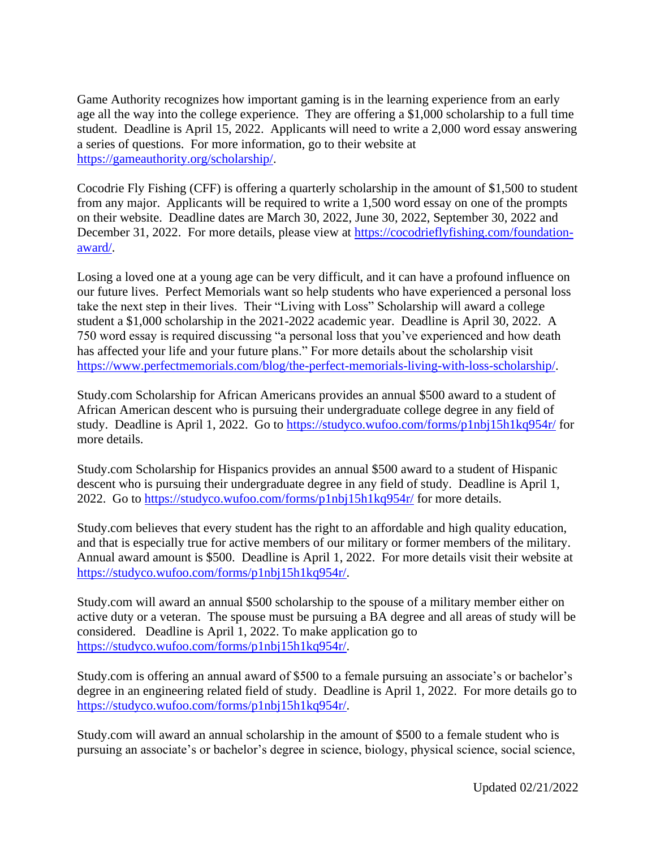Game Authority recognizes how important gaming is in the learning experience from an early age all the way into the college experience. They are offering a \$1,000 scholarship to a full time student. Deadline is April 15, 2022. Applicants will need to write a 2,000 word essay answering a series of questions. For more information, go to their website at [https://gameauthority.org/scholarship/.](https://gameauthority.org/scholarship/)

Cocodrie Fly Fishing (CFF) is offering a quarterly scholarship in the amount of \$1,500 to student from any major. Applicants will be required to write a 1,500 word essay on one of the prompts on their website. Deadline dates are March 30, 2022, June 30, 2022, September 30, 2022 and December 31, 2022. For more details, please view at [https://cocodrieflyfishing.com/foundation](https://cocodrieflyfishing.com/foundation-award/)[award/.](https://cocodrieflyfishing.com/foundation-award/)

Losing a loved one at a young age can be very difficult, and it can have a profound influence on our future lives. Perfect Memorials want so help students who have experienced a personal loss take the next step in their lives. Their "Living with Loss" Scholarship will award a college student a \$1,000 scholarship in the 2021-2022 academic year. Deadline is April 30, 2022. A 750 word essay is required discussing "a personal loss that you've experienced and how death has affected your life and your future plans." For more details about the scholarship visit [https://www.perfectmemorials.com/blog/the-perfect-memorials-living-with-loss-scholarship/.](https://www.perfectmemorials.com/blog/the-perfect-memorials-living-with-loss-scholarship/)

Study.com Scholarship for African Americans provides an annual \$500 award to a student of African American descent who is pursuing their undergraduate college degree in any field of study. Deadline is April 1, 2022. Go to<https://studyco.wufoo.com/forms/p1nbj15h1kq954r/> for more details.

Study.com Scholarship for Hispanics provides an annual \$500 award to a student of Hispanic descent who is pursuing their undergraduate degree in any field of study. Deadline is April 1, 2022. Go to<https://studyco.wufoo.com/forms/p1nbj15h1kq954r/> for more details.

Study.com believes that every student has the right to an affordable and high quality education, and that is especially true for active members of our military or former members of the military. Annual award amount is \$500. Deadline is April 1, 2022. For more details visit their website at [https://studyco.wufoo.com/forms/p1nbj15h1kq954r/.](https://studyco.wufoo.com/forms/p1nbj15h1kq954r/)

Study.com will award an annual \$500 scholarship to the spouse of a military member either on active duty or a veteran. The spouse must be pursuing a BA degree and all areas of study will be considered. Deadline is April 1, 2022. To make application go to [https://studyco.wufoo.com/forms/p1nbj15h1kq954r/.](https://studyco.wufoo.com/forms/p1nbj15h1kq954r/)

Study.com is offering an annual award of \$500 to a female pursuing an associate's or bachelor's degree in an engineering related field of study. Deadline is April 1, 2022. For more details go to [https://studyco.wufoo.com/forms/p1nbj15h1kq954r/.](https://studyco.wufoo.com/forms/p1nbj15h1kq954r/)

Study.com will award an annual scholarship in the amount of \$500 to a female student who is pursuing an associate's or bachelor's degree in science, biology, physical science, social science,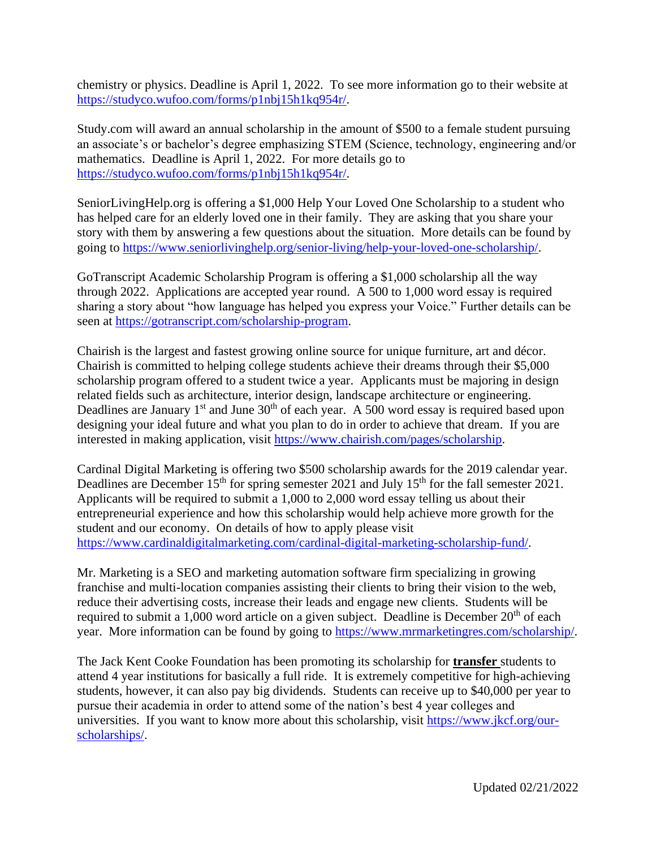chemistry or physics. Deadline is April 1, 2022. To see more information go to their website at [https://studyco.wufoo.com/forms/p1nbj15h1kq954r/.](https://studyco.wufoo.com/forms/p1nbj15h1kq954r/)

Study.com will award an annual scholarship in the amount of \$500 to a female student pursuing an associate's or bachelor's degree emphasizing STEM (Science, technology, engineering and/or mathematics. Deadline is April 1, 2022. For more details go to [https://studyco.wufoo.com/forms/p1nbj15h1kq954r/.](https://studyco.wufoo.com/forms/p1nbj15h1kq954r/)

SeniorLivingHelp.org is offering a \$1,000 Help Your Loved One Scholarship to a student who has helped care for an elderly loved one in their family. They are asking that you share your story with them by answering a few questions about the situation. More details can be found by going to [https://www.seniorlivinghelp.org/senior-living/help-your-loved-one-scholarship/.](https://www.seniorlivinghelp.org/senior-living/help-your-loved-one-scholarship/)

GoTranscript Academic Scholarship Program is offering a \$1,000 scholarship all the way through 2022. Applications are accepted year round. A 500 to 1,000 word essay is required sharing a story about "how language has helped you express your Voice." Further details can be seen at [https://gotranscript.com/scholarship-program.](https://gotranscript.com/scholarship-program)

Chairish is the largest and fastest growing online source for unique furniture, art and décor. Chairish is committed to helping college students achieve their dreams through their \$5,000 scholarship program offered to a student twice a year. Applicants must be majoring in design related fields such as architecture, interior design, landscape architecture or engineering. Deadlines are January 1<sup>st</sup> and June 30<sup>th</sup> of each year. A 500 word essay is required based upon designing your ideal future and what you plan to do in order to achieve that dream. If you are interested in making application, visit [https://www.chairish.com/pages/scholarship.](https://www.chairish.com/pages/scholarship)

Cardinal Digital Marketing is offering two \$500 scholarship awards for the 2019 calendar year. Deadlines are December  $15<sup>th</sup>$  for spring semester 2021 and July  $15<sup>th</sup>$  for the fall semester 2021. Applicants will be required to submit a 1,000 to 2,000 word essay telling us about their entrepreneurial experience and how this scholarship would help achieve more growth for the student and our economy. On details of how to apply please visit [https://www.cardinaldigitalmarketing.com/cardinal-digital-marketing-scholarship-fund/.](https://www.cardinaldigitalmarketing.com/cardinal-digital-marketing-scholarship-fund/)

Mr. Marketing is a SEO and marketing automation software firm specializing in growing franchise and multi-location companies assisting their clients to bring their vision to the web, reduce their advertising costs, increase their leads and engage new clients. Students will be required to submit a 1,000 word article on a given subject. Deadline is December 20<sup>th</sup> of each year. More information can be found by going to [https://www.mrmarketingres.com/scholarship/.](https://www.mrmarketingres.com/scholarship/)

The Jack Kent Cooke Foundation has been promoting its scholarship for **transfer** students to attend 4 year institutions for basically a full ride. It is extremely competitive for high-achieving students, however, it can also pay big dividends. Students can receive up to \$40,000 per year to pursue their academia in order to attend some of the nation's best 4 year colleges and universities. If you want to know more about this scholarship, visit [https://www.jkcf.org/our](https://www.jkcf.org/our-scholarships/)[scholarships/.](https://www.jkcf.org/our-scholarships/)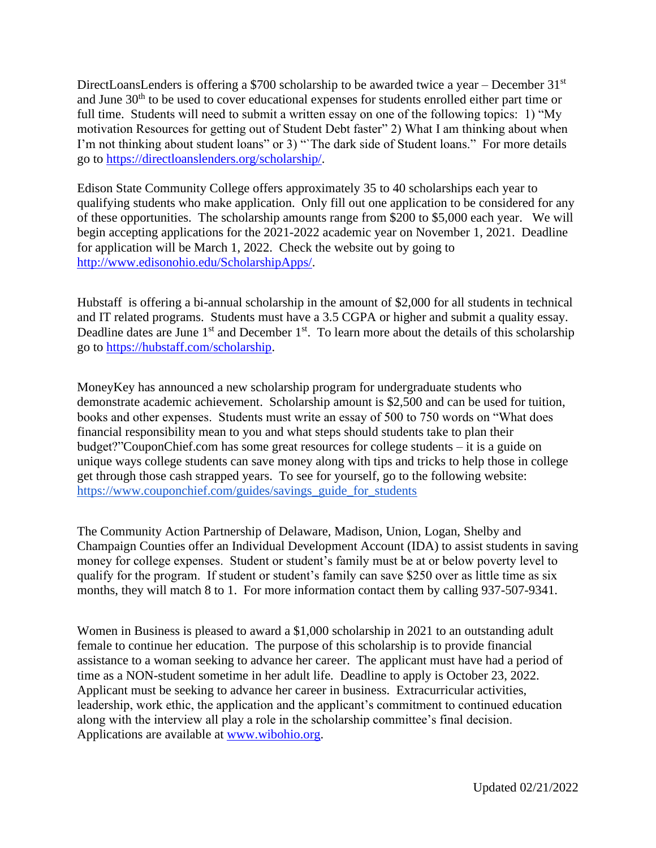DirectLoansLenders is offering a \$700 scholarship to be awarded twice a year – December  $31<sup>st</sup>$ and June 30<sup>th</sup> to be used to cover educational expenses for students enrolled either part time or full time. Students will need to submit a written essay on one of the following topics: 1) "My motivation Resources for getting out of Student Debt faster" 2) What I am thinking about when I'm not thinking about student loans" or 3) "The dark side of Student loans." For more details go to [https://directloanslenders.org/scholarship/.](https://directloanslenders.org/scholarship/)

Edison State Community College offers approximately 35 to 40 scholarships each year to qualifying students who make application. Only fill out one application to be considered for any of these opportunities. The scholarship amounts range from \$200 to \$5,000 each year. We will begin accepting applications for the 2021-2022 academic year on November 1, 2021. Deadline for application will be March 1, 2022. Check the website out by going to [http://www.edisonohio.edu/ScholarshipApps/.](http://www.edisonohio.edu/ScholarshipApps/)

Hubstaff is offering a bi-annual scholarship in the amount of \$2,000 for all students in technical and IT related programs. Students must have a 3.5 CGPA or higher and submit a quality essay. Deadline dates are June  $1<sup>st</sup>$  and December  $1<sup>st</sup>$ . To learn more about the details of this scholarship go to [https://hubstaff.com/scholarship.](https://hubstaff.com/scholarship)

MoneyKey has announced a new scholarship program for undergraduate students who demonstrate academic achievement. Scholarship amount is \$2,500 and can be used for tuition, books and other expenses. Students must write an essay of 500 to 750 words on "What does financial responsibility mean to you and what steps should students take to plan their budget?"CouponChief.com has some great resources for college students – it is a guide on unique ways college students can save money along with tips and tricks to help those in college get through those cash strapped years. To see for yourself, go to the following website: [https://www.couponchief.com/guides/savings\\_guide\\_for\\_students](https://www.couponchief.com/guides/savings_guide_for_students)

The Community Action Partnership of Delaware, Madison, Union, Logan, Shelby and Champaign Counties offer an Individual Development Account (IDA) to assist students in saving money for college expenses. Student or student's family must be at or below poverty level to qualify for the program. If student or student's family can save \$250 over as little time as six months, they will match 8 to 1. For more information contact them by calling 937-507-9341.

Women in Business is pleased to award a \$1,000 scholarship in 2021 to an outstanding adult female to continue her education. The purpose of this scholarship is to provide financial assistance to a woman seeking to advance her career. The applicant must have had a period of time as a NON-student sometime in her adult life. Deadline to apply is October 23, 2022. Applicant must be seeking to advance her career in business. Extracurricular activities, leadership, work ethic, the application and the applicant's commitment to continued education along with the interview all play a role in the scholarship committee's final decision. Applications are available at [www.wibohio.org.](http://www.wibohio.org/)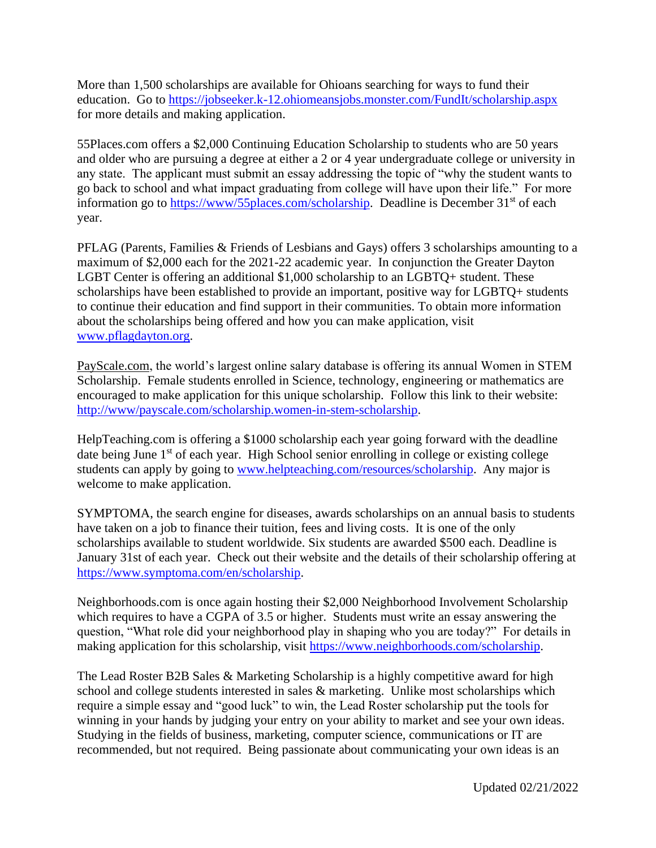More than 1,500 scholarships are available for Ohioans searching for ways to fund their education. Go to <https://jobseeker.k-12.ohiomeansjobs.monster.com/FundIt/scholarship.aspx> for more details and making application.

55Places.com offers a \$2,000 Continuing Education Scholarship to students who are 50 years and older who are pursuing a degree at either a 2 or 4 year undergraduate college or university in any state. The applicant must submit an essay addressing the topic of "why the student wants to go back to school and what impact graduating from college will have upon their life." For more information go to [https://www/55places.com/scholarship.](https://www/55places.com/scholarship) Deadline is December 31<sup>st</sup> of each year.

PFLAG (Parents, Families & Friends of Lesbians and Gays) offers 3 scholarships amounting to a maximum of \$2,000 each for the 2021-22 academic year. In conjunction the Greater Dayton LGBT Center is offering an additional \$1,000 scholarship to an LGBTQ+ student. These scholarships have been established to provide an important, positive way for LGBTQ+ students to continue their education and find support in their communities. To obtain more information about the scholarships being offered and how you can make application, visit [www.pflagdayton.org.](http://www.pflagdayton.org/)

PayScale.com, the world's largest online salary database is offering its annual Women in STEM Scholarship. Female students enrolled in Science, technology, engineering or mathematics are encouraged to make application for this unique scholarship. Follow this link to their website: [http://www/payscale.com/scholarship.women-in-stem-scholarship.](http://www/payscale.com/scholarship.women-in-stem-scholarship)

HelpTeaching.com is offering a \$1000 scholarship each year going forward with the deadline date being June 1<sup>st</sup> of each year. High School senior enrolling in college or existing college students can apply by going to [www.helpteaching.com/resources/scholarship.](http://www.helpteaching.com/resources/scholarship) Any major is welcome to make application.

SYMPTOMA, the search engine for diseases, awards scholarships on an annual basis to students have taken on a job to finance their tuition, fees and living costs. It is one of the only scholarships available to student worldwide. Six students are awarded \$500 each. Deadline is January 31st of each year. Check out their website and the details of their scholarship offering at [https://www.symptoma.com/en/scholarship.](https://www.symptoma.com/en/scholarship)

Neighborhoods.com is once again hosting their \$2,000 Neighborhood Involvement Scholarship which requires to have a CGPA of 3.5 or higher. Students must write an essay answering the question, "What role did your neighborhood play in shaping who you are today?" For details in making application for this scholarship, visit [https://www.neighborhoods.com/scholarship.](https://www.neighborhoods.com/scholarship)

The Lead Roster B2B Sales & Marketing Scholarship is a highly competitive award for high school and college students interested in sales & marketing. Unlike most scholarships which require a simple essay and "good luck" to win, the Lead Roster scholarship put the tools for winning in your hands by judging your entry on your ability to market and see your own ideas. Studying in the fields of business, marketing, computer science, communications or IT are recommended, but not required. Being passionate about communicating your own ideas is an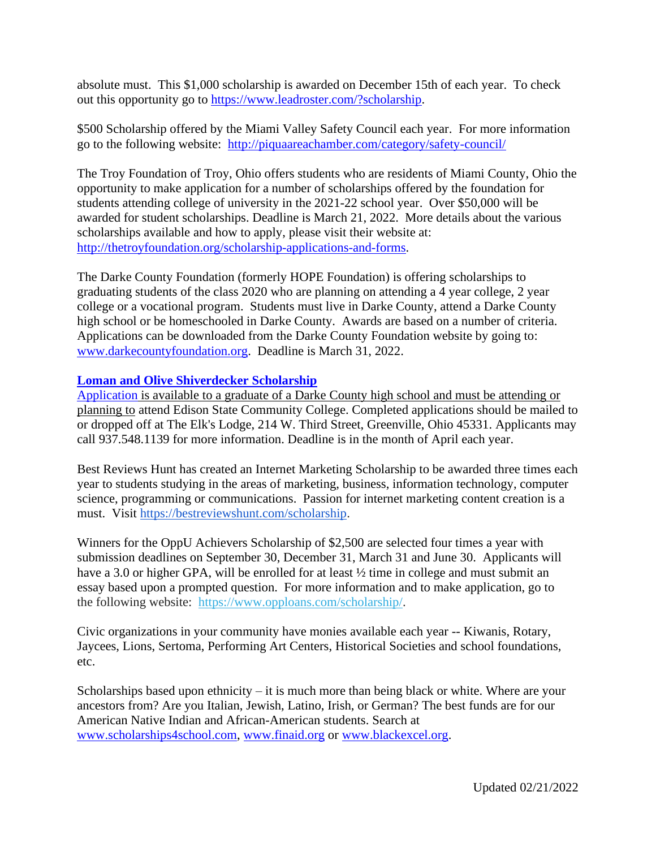absolute must. This \$1,000 scholarship is awarded on December 15th of each year. To check out this opportunity go to [https://www.leadroster.com/?scholarship.](https://www.leadroster.com/?scholarship)

\$500 Scholarship offered by the Miami Valley Safety Council each year. For more information go to the following website: <http://piquaareachamber.com/category/safety-council/>

The Troy Foundation of Troy, Ohio offers students who are residents of Miami County, Ohio the opportunity to make application for a number of scholarships offered by the foundation for students attending college of university in the 2021-22 school year. Over \$50,000 will be awarded for student scholarships. Deadline is March 21, 2022. More details about the various scholarships available and how to apply, please visit their website at: [http://thetroyfoundation.org/scholarship-applications-and-forms.](http://thetroyfoundation.org/scholarship-applications-and-forms)

The Darke County Foundation (formerly HOPE Foundation) is offering scholarships to graduating students of the class 2020 who are planning on attending a 4 year college, 2 year college or a vocational program. Students must live in Darke County, attend a Darke County high school or be homeschooled in Darke County. Awards are based on a number of criteria. Applications can be downloaded from the Darke County Foundation website by going to: [www.darkecountyfoundation.org.](http://www.darkecountyfoundation.org/) Deadline is March 31, 2022.

## **[Loman and Olive Shiverdecker Scholarship](http://www.edisonohio.edu/uploadedFiles/_Web_Assets/Documents/Financial_Aid/2016-2017_Printable_Forms/Loman-Olive_Shiverdecker_Scholarship.pdf)**

[Application](http://www.edisonohio.edu/uploadedFiles/_Web_Assets/Documents/Financial_Aid/2016-2017_Printable_Forms/Loman-Olive_Shiverdecker_Scholarship.pdf) is available to a graduate of a Darke County high school and must be attending or planning to attend Edison State Community College. Completed applications should be mailed to or dropped off at The Elk's Lodge, 214 W. Third Street, Greenville, Ohio 45331. Applicants may call 937.548.1139 for more information. Deadline is in the month of April each year.

Best Reviews Hunt has created an Internet Marketing Scholarship to be awarded three times each year to students studying in the areas of marketing, business, information technology, computer science, programming or communications. Passion for internet marketing content creation is a must. Visit [https://bestreviewshunt.com/scholarship.](https://bestreviewshunt.com/scholarship)

Winners for the OppU Achievers Scholarship of \$2,500 are selected four times a year with submission deadlines on September 30, December 31, March 31 and June 30. Applicants will have a 3.0 or higher GPA, will be enrolled for at least  $\frac{1}{2}$  time in college and must submit an essay based upon a prompted question. For more information and to make application, go to the following website: [https://www.opploans.com/scholarship/.](http://opploans.us3.list-manage.com/track/click?u=0883f2f260891fa65e239a699&id=0ceb0638a7&e=24e8945170)

Civic organizations in your community have monies available each year -- Kiwanis, Rotary, Jaycees, Lions, Sertoma, Performing Art Centers, Historical Societies and school foundations, etc.

Scholarships based upon ethnicity – it is much more than being black or white. Where are your ancestors from? Are you Italian, Jewish, Latino, Irish, or German? The best funds are for our American Native Indian and African-American students. Search at [www.scholarships4school.com,](http://www.scholarships4school.com/) [www.finaid.org](http://www.finaid.org/) or [www.blackexcel.org.](http://www.blackexcel.org/)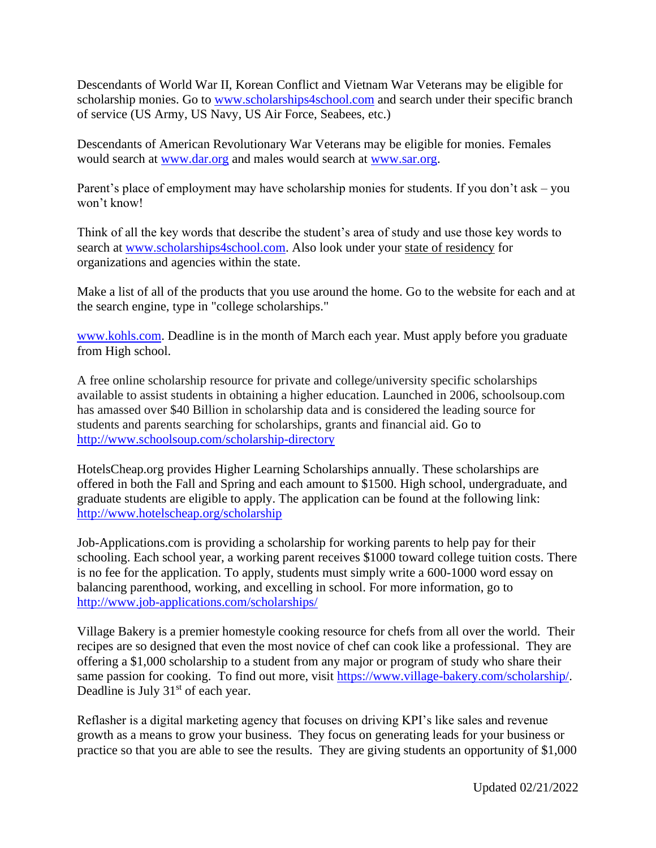Descendants of World War II, Korean Conflict and Vietnam War Veterans may be eligible for scholarship monies. Go to [www.scholarships4school.com](http://www.scholarships4school.com/) and search under their specific branch of service (US Army, US Navy, US Air Force, Seabees, etc.)

Descendants of American Revolutionary War Veterans may be eligible for monies. Females would search at [www.dar.org](http://www.dar.org/) and males would search at [www.sar.org.](http://www.sar.org/)

Parent's place of employment may have scholarship monies for students. If you don't ask – you won't know!

Think of all the key words that describe the student's area of study and use those key words to search at [www.scholarships4school.com.](http://www.scholarships4school.com/) Also look under your state of residency for organizations and agencies within the state.

Make a list of all of the products that you use around the home. Go to the website for each and at the search engine, type in "college scholarships."

[www.kohls.com.](http://www.kohls.com/) Deadline is in the month of March each year. Must apply before you graduate from High school.

A free online scholarship resource for private and college/university specific scholarships available to assist students in obtaining a higher education. Launched in 2006, schoolsoup.com has amassed over \$40 Billion in scholarship data and is considered the leading source for students and parents searching for scholarships, grants and financial aid. Go to <http://www.schoolsoup.com/scholarship-directory>

HotelsCheap.org provides Higher Learning Scholarships annually. These scholarships are offered in both the Fall and Spring and each amount to \$1500. High school, undergraduate, and graduate students are eligible to apply. The application can be found at the following link: <http://www.hotelscheap.org/scholarship>

Job-Applications.com is providing a scholarship for working parents to help pay for their schooling. Each school year, a working parent receives \$1000 toward college tuition costs. There is no fee for the application. To apply, students must simply write a 600-1000 word essay on balancing parenthood, working, and excelling in school. For more information, go to <http://www.job-applications.com/scholarships/>

Village Bakery is a premier homestyle cooking resource for chefs from all over the world. Their recipes are so designed that even the most novice of chef can cook like a professional. They are offering a \$1,000 scholarship to a student from any major or program of study who share their same passion for cooking. To find out more, visit [https://www.village-bakery.com/scholarship/.](https://www.village-bakery.com/scholarship/) Deadline is July 31<sup>st</sup> of each year.

Reflasher is a digital marketing agency that focuses on driving KPI's like sales and revenue growth as a means to grow your business. They focus on generating leads for your business or practice so that you are able to see the results. They are giving students an opportunity of \$1,000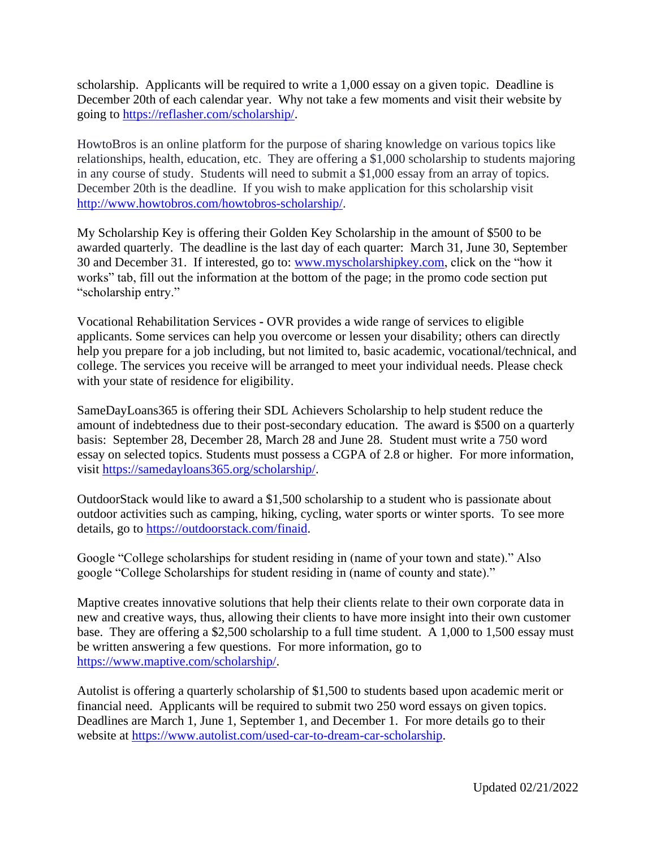scholarship. Applicants will be required to write a 1,000 essay on a given topic. Deadline is December 20th of each calendar year. Why not take a few moments and visit their website by going to [https://reflasher.com/scholarship/.](https://reflasher.com/scholarship/)

HowtoBros is an online platform for the purpose of sharing knowledge on various topics like relationships, health, education, etc. They are offering a \$1,000 scholarship to students majoring in any course of study. Students will need to submit a \$1,000 essay from an array of topics. December 20th is the deadline. If you wish to make application for this scholarship visit [http://www.howtobros.com/howtobros-scholarship/.](http://www.howtobros.com/howtobros-scholarship/)

My Scholarship Key is offering their Golden Key Scholarship in the amount of \$500 to be awarded quarterly. The deadline is the last day of each quarter: March 31, June 30, September 30 and December 31. If interested, go to: [www.myscholarshipkey.com,](http://www.myscholarshipkey.com/) click on the "how it works" tab, fill out the information at the bottom of the page; in the promo code section put "scholarship entry."

Vocational Rehabilitation Services **-** OVR provides a wide range of services to eligible applicants. Some services can help you overcome or lessen your disability; others can directly help you prepare for a job including, but not limited to, basic academic, vocational/technical, and college. The services you receive will be arranged to meet your individual needs. Please check with your state of residence for eligibility.

SameDayLoans365 is offering their SDL Achievers Scholarship to help student reduce the amount of indebtedness due to their post-secondary education. The award is \$500 on a quarterly basis: September 28, December 28, March 28 and June 28. Student must write a 750 word essay on selected topics. Students must possess a CGPA of 2.8 or higher. For more information, visit [https://samedayloans365.org/scholarship/.](https://samedayloans365.org/scholarship/)

OutdoorStack would like to award a \$1,500 scholarship to a student who is passionate about outdoor activities such as camping, hiking, cycling, water sports or winter sports. To see more details, go to [https://outdoorstack.com/finaid.](https://outdoorstack.com/finaid)

Google "College scholarships for student residing in (name of your town and state)." Also google "College Scholarships for student residing in (name of county and state)."

Maptive creates innovative solutions that help their clients relate to their own corporate data in new and creative ways, thus, allowing their clients to have more insight into their own customer base. They are offering a \$2,500 scholarship to a full time student. A 1,000 to 1,500 essay must be written answering a few questions. For more information, go to [https://www.maptive.com/scholarship/.](https://www.maptive.com/scholarship/)

Autolist is offering a quarterly scholarship of \$1,500 to students based upon academic merit or financial need. Applicants will be required to submit two 250 word essays on given topics. Deadlines are March 1, June 1, September 1, and December 1. For more details go to their website at [https://www.autolist.com/used-car-to-dream-car-scholarship.](https://www.autolist.com/used-car-to-dream-car-scholarship)